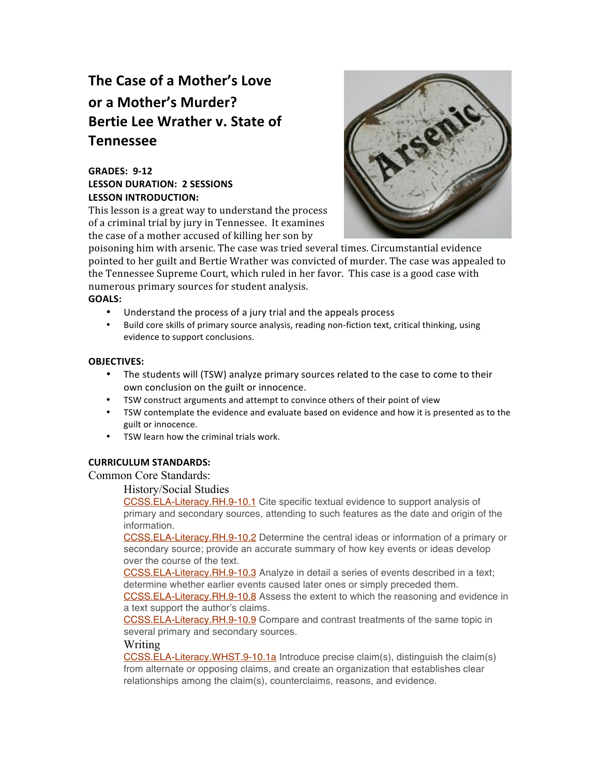# **The Case of a Mother's Love or a Mother's Murder? Bertie Lee Wrather v. State of Tennessee**

## **GRADES: 9‐12 LESSON DURATION: 2 SESSIONS LESSON INTRODUCTION:**

This lesson is a great way to understand the process of a criminal trial by jury in Tennessee. It examines the case of a mother accused of killing her son by



poisoning him with arsenic. The case was tried several times. Circumstantial evidence pointed to her guilt and Bertie Wrather was convicted of murder. The case was appealed to the Tennessee Supreme Court, which ruled in her favor. This case is a good case with numerous primary sources for student analysis.

### **GOALS:**

- Understand the process of a jury trial and the appeals process
- Build core skills of primary source analysis, reading non-fiction text, critical thinking, using evidence to support conclusions.

## **OBJECTIVES:**

- The students will (TSW) analyze primary sources related to the case to come to their own conclusion on the guilt or innocence.
- TSW construct arguments and attempt to convince others of their point of view
- TSW contemplate the evidence and evaluate based on evidence and how it is presented as to the guilt or innocence.
- TSW learn how the criminal trials work.

## **CURRICULUM STANDARDS:**

Common Core Standards:

#### History/Social Studies

CCSS.ELA-Literacy.RH.9-10.1 Cite specific textual evidence to support analysis of primary and secondary sources, attending to such features as the date and origin of the information.

CCSS.ELA-Literacy.RH.9-10.2 Determine the central ideas or information of a primary or secondary source; provide an accurate summary of how key events or ideas develop over the course of the text.

CCSS.ELA-Literacy.RH.9-10.3 Analyze in detail a series of events described in a text; determine whether earlier events caused later ones or simply preceded them.

CCSS.ELA-Literacy.RH.9-10.8 Assess the extent to which the reasoning and evidence in a text support the author's claims.

CCSS.ELA-Literacy.RH.9-10.9 Compare and contrast treatments of the same topic in several primary and secondary sources.

#### Writing

CCSS.ELA-Literacy.WHST.9-10.1a Introduce precise claim(s), distinguish the claim(s) from alternate or opposing claims, and create an organization that establishes clear relationships among the claim(s), counterclaims, reasons, and evidence.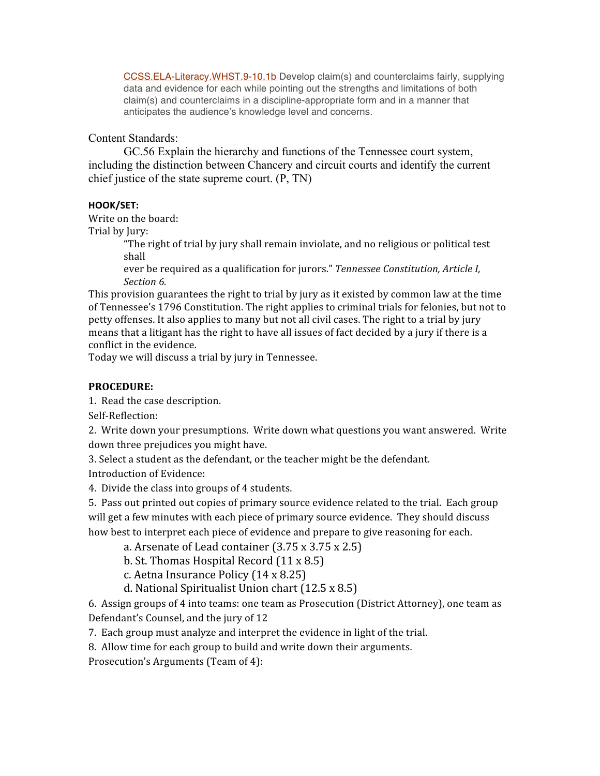CCSS.ELA-Literacy.WHST.9-10.1b Develop claim(s) and counterclaims fairly, supplying data and evidence for each while pointing out the strengths and limitations of both claim(s) and counterclaims in a discipline-appropriate form and in a manner that anticipates the audience's knowledge level and concerns.

## Content Standards:

GC.56 Explain the hierarchy and functions of the Tennessee court system, including the distinction between Chancery and circuit courts and identify the current chief justice of the state supreme court. (P, TN)

## **HOOK/SET:**

Write on the board:

Trial by Jury:

"The right of trial by jury shall remain inviolate, and no religious or political test shall

ever be required as a qualification for jurors." *Tennessee Constitution, Article I, Section 6.*

This provision guarantees the right to trial by jury as it existed by common law at the time of Tennessee's 1796 Constitution. The right applies to criminal trials for felonies, but not to petty offenses. It also applies to many but not all civil cases. The right to a trial by jury means that a litigant has the right to have all issues of fact decided by a jury if there is a conflict in the evidence.

Today we will discuss a trial by jury in Tennessee.

# **PROCEDURE:**

1. Read the case description.

Self‐Reflection:

2. Write down your presumptions. Write down what questions you want answered. Write down three prejudices you might have.

3. Select a student as the defendant, or the teacher might be the defendant. Introduction of Evidence:

4. Divide the class into groups of 4 students.

5. Pass out printed out copies of primary source evidence related to the trial. Each group will get a few minutes with each piece of primary source evidence. They should discuss how best to interpret each piece of evidence and prepare to give reasoning for each.

a. Arsenate of Lead container (3.75 x 3.75 x 2.5)

- b. St. Thomas Hospital Record (11 x 8.5)
- c. Aetna Insurance Policy (14 x 8.25)
- d. National Spiritualist Union chart (12.5 x 8.5)

6. Assign groups of 4 into teams: one team as Prosecution (District Attorney), one team as Defendant's Counsel, and the jury of 12

7. Each group must analyze and interpret the evidence in light of the trial.

8. Allow time for each group to build and write down their arguments.

Prosecution's Arguments (Team of 4):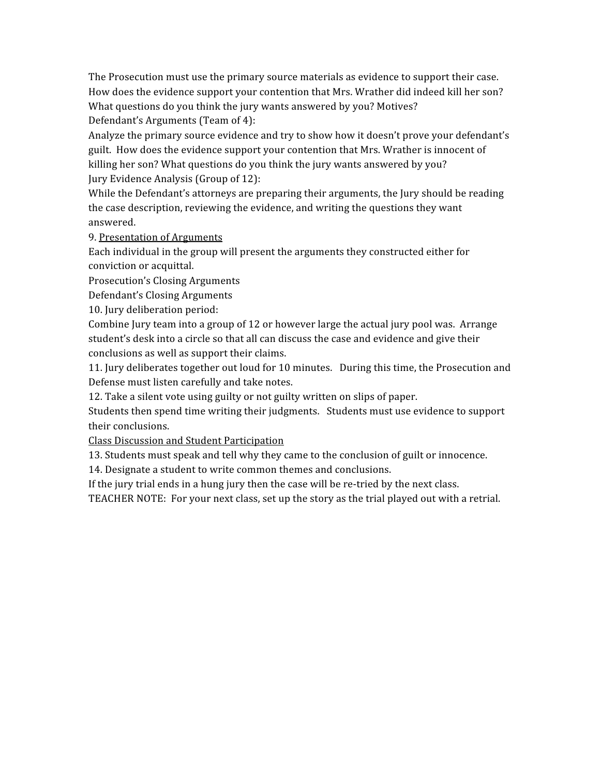The Prosecution must use the primary source materials as evidence to support their case. How does the evidence support your contention that Mrs. Wrather did indeed kill her son? What questions do you think the jury wants answered by you? Motives? Defendant's Arguments (Team of 4):

Analyze the primary source evidence and try to show how it doesn't prove your defendant's guilt. How does the evidence support your contention that Mrs. Wrather is innocent of killing her son? What questions do you think the jury wants answered by you? Jury Evidence Analysis (Group of 12):

While the Defendant's attorneys are preparing their arguments, the Jury should be reading the case description, reviewing the evidence, and writing the questions they want answered.

9. Presentation of Arguments

Each individual in the group will present the arguments they constructed either for conviction or acquittal.

Prosecution's Closing Arguments

Defendant's Closing Arguments

10. Jury deliberation period:

Combine Jury team into a group of 12 or however large the actual jury pool was. Arrange student's desk into a circle so that all can discuss the case and evidence and give their conclusions as well as support their claims.

11. Jury deliberates together out loud for 10 minutes. During this time, the Prosecution and Defense must listen carefully and take notes.

12. Take a silent vote using guilty or not guilty written on slips of paper.

Students then spend time writing their judgments. Students must use evidence to support their conclusions.

Class Discussion and Student Participation

13. Students must speak and tell why they came to the conclusion of guilt or innocence.

14. Designate a student to write common themes and conclusions.

If the jury trial ends in a hung jury then the case will be re-tried by the next class.

TEACHER NOTE: For your next class, set up the story as the trial played out with a retrial.